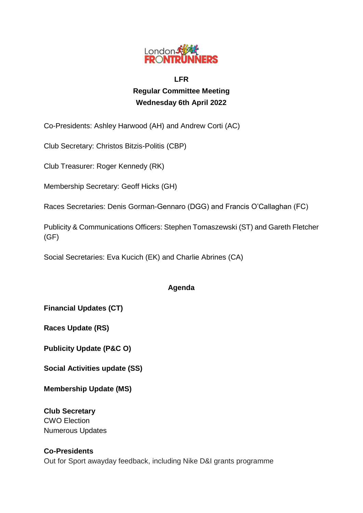

# **LFR Regular Committee Meeting Wednesday 6th April 2022**

Co-Presidents: Ashley Harwood (AH) and Andrew Corti (AC)

Club Secretary: Christos Bitzis-Politis (CBP)

Club Treasurer: Roger Kennedy (RK)

Membership Secretary: Geoff Hicks (GH)

Races Secretaries: Denis Gorman-Gennaro (DGG) and Francis O'Callaghan (FC)

Publicity & Communications Officers: Stephen Tomaszewski (ST) and Gareth Fletcher (GF)

Social Secretaries: Eva Kucich (EK) and Charlie Abrines (CA)

## **Agenda**

**Financial Updates (CT)**

**Races Update (RS)**

**Publicity Update (P&C O)**

**Social Activities update (SS)**

**Membership Update (MS)**

**Club Secretary** CWO Election Numerous Updates

## **Co-Presidents**

Out for Sport awayday feedback, including Nike D&I grants programme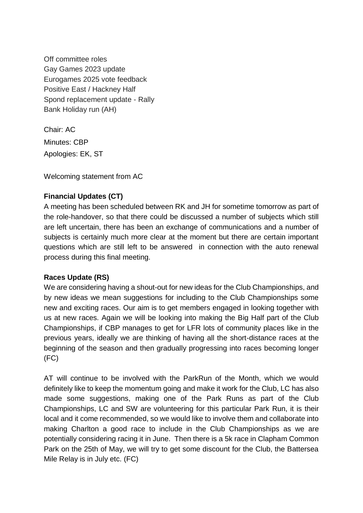Off committee roles Gay Games 2023 update Eurogames 2025 vote feedback Positive East / Hackney Half Spond replacement update - Rally Bank Holiday run (AH)

Chair: AC Minutes: CBP Apologies: EK, ST

Welcoming statement from AC

### **Financial Updates (CT)**

A meeting has been scheduled between RK and JH for sometime tomorrow as part of the role-handover, so that there could be discussed a number of subjects which still are left uncertain, there has been an exchange of communications and a number of subjects is certainly much more clear at the moment but there are certain important questions which are still left to be answered in connection with the auto renewal process during this final meeting.

### **Races Update (RS)**

We are considering having a shout-out for new ideas for the Club Championships, and by new ideas we mean suggestions for including to the Club Championships some new and exciting races. Our aim is to get members engaged in looking together with us at new races. Again we will be looking into making the Big Half part of the Club Championships, if CBP manages to get for LFR lots of community places like in the previous years, ideally we are thinking of having all the short-distance races at the beginning of the season and then gradually progressing into races becoming longer (FC)

AT will continue to be involved with the ParkRun of the Month, which we would definitely like to keep the momentum going and make it work for the Club, LC has also made some suggestions, making one of the Park Runs as part of the Club Championships, LC and SW are volunteering for this particular Park Run, it is their local and it come recommended, so we would like to involve them and collaborate into making Charlton a good race to include in the Club Championships as we are potentially considering racing it in June. Then there is a 5k race in Clapham Common Park on the 25th of May, we will try to get some discount for the Club, the Battersea Mile Relay is in July etc. (FC)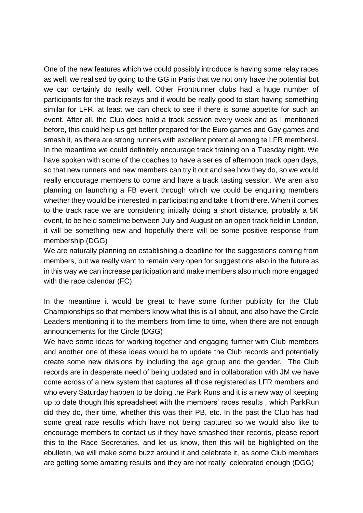One of the new features which we could possibly introduce is having some relay races as well, we realised by going to the GG in Paris that we not only have the potential but we can certainly do really well. Other Frontrunner clubs had a huge number of participants for the track relays and it would be really good to start having something similar for LFR, at least we can check to see if there is some appetite for such an event. After all, the Club does hold a track session every week and as I mentioned before, this could help us get better prepared for the Euro games and Gay games and smash it, as there are strong runners with excellent potential among te LFR membersl. In the meantime we could definitely encourage track training on a Tuesday night. We have spoken with some of the coaches to have a series of afternoon track open days, so that new runners and new members can try it out and see how they do, so we would really encourage members to come and have a track tasting session. We aren also planning on launching a FB event through which we could be enquiring members whether they would be interested in participating and take it from there. When it comes to the track race we are considering initially doing a short distance, probably a 5K event, to be held sometime between July and August on an open track field in London, it will be something new and hopefully there will be some positive response from membership (DGG)

We are naturally planning on establishing a deadline for the suggestions coming from members, but we really want to remain very open for suggestions also in the future as in this way we can increase participation and make members also much more engaged with the race calendar (FC)

In the meantime it would be great to have some further publicity for the Club Championships so that members know what this is all about, and also have the Circle Leaders mentioning it to the members from time to time, when there are not enough announcements for the Circle (DGG)

We have some ideas for working together and engaging further with Club members and another one of these ideas would be to update the Club records and potentially create some new divisions by including the age group and the gender. The Club records are in desperate need of being updated and in collaboration with JM we have come across of a new system that captures all those registered as LFR members and who every Saturday happen to be doing the Park Runs and it is a new way of keeping up to date though this spreadsheet with the members' races results , which ParkRun did they do, their time, whether this was their PB, etc. In the past the Club has had some great race results which have not being captured so we would also like to encourage members to contact us if they have smashed their records, please report this to the Race Secretaries, and let us know, then this will be highlighted on the ebulletin, we will make some buzz around it and celebrate it, as some Club members are getting some amazing results and they are not really celebrated enough (DGG)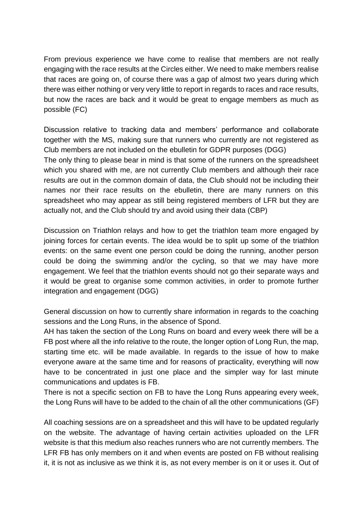From previous experience we have come to realise that members are not really engaging with the race results at the Circles either. We need to make members realise that races are going on, of course there was a gap of almost two years during which there was either nothing or very very little to report in regards to races and race results, but now the races are back and it would be great to engage members as much as possible (FC)

Discussion relative to tracking data and members' performance and collaborate together with the MS, making sure that runners who currently are not registered as Club members are not included on the ebulletin for GDPR purposes (DGG) The only thing to please bear in mind is that some of the runners on the spreadsheet which you shared with me, are not currently Club members and although their race results are out in the common domain of data, the Club should not be including their names nor their race results on the ebulletin, there are many runners on this spreadsheet who may appear as still being registered members of LFR but they are actually not, and the Club should try and avoid using their data (CBP)

Discussion on Triathlon relays and how to get the triathlon team more engaged by joining forces for certain events. The idea would be to split up some of the triathlon events: on the same event one person could be doing the running, another person could be doing the swimming and/or the cycling, so that we may have more engagement. We feel that the triathlon events should not go their separate ways and it would be great to organise some common activities, in order to promote further integration and engagement (DGG)

General discussion on how to currently share information in regards to the coaching sessions and the Long Runs, in the absence of Spond.

AH has taken the section of the Long Runs on board and every week there will be a FB post where all the info relative to the route, the longer option of Long Run, the map, starting time etc. will be made available. In regards to the issue of how to make everyone aware at the same time and for reasons of practicality, everything will now have to be concentrated in just one place and the simpler way for last minute communications and updates is FB.

There is not a specific section on FB to have the Long Runs appearing every week, the Long Runs will have to be added to the chain of all the other communications (GF)

All coaching sessions are on a spreadsheet and this will have to be updated regularly on the website. The advantage of having certain activities uploaded on the LFR website is that this medium also reaches runners who are not currently members. The LFR FB has only members on it and when events are posted on FB without realising it, it is not as inclusive as we think it is, as not every member is on it or uses it. Out of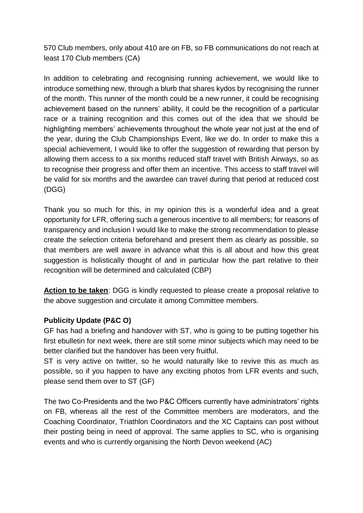570 Club members, only about 410 are on FB, so FB communications do not reach at least 170 Club members (CA)

In addition to celebrating and recognising running achievement, we would like to introduce something new, through a blurb that shares kydos by recognising the runner of the month. This runner of the month could be a new runner, it could be recognising achievement based on the runners' ability, it could be the recognition of a particular race or a training recognition and this comes out of the idea that we should be highlighting members' achievements throughout the whole year not just at the end of the year, during the Club Championships Event, like we do. In order to make this a special achievement, I would like to offer the suggestion of rewarding that person by allowing them access to a six months reduced staff travel with British Airways, so as to recognise their progress and offer them an incentive. This access to staff travel will be valid for six months and the awardee can travel during that period at reduced cost (DGG)

Thank you so much for this, in my opinion this is a wonderful idea and a great opportunity for LFR, offering such a generous incentive to all members; for reasons of transparency and inclusion I would like to make the strong recommendation to please create the selection criteria beforehand and present them as clearly as possible, so that members are well aware in advance what this is all about and how this great suggestion is holistically thought of and in particular how the part relative to their recognition will be determined and calculated (CBP)

**Action to be taken**: DGG is kindly requested to please create a proposal relative to the above suggestion and circulate it among Committee members.

### **Publicity Update (P&C O)**

GF has had a briefing and handover with ST, who is going to be putting together his first ebulletin for next week, there are still some minor subjects which may need to be better clarified but the handover has been very fruitful.

ST is very active on twitter, so he would naturally like to revive this as much as possible, so if you happen to have any exciting photos from LFR events and such, please send them over to ST (GF)

The two Co-Presidents and the two P&C Officers currently have administrators' rights on FB, whereas all the rest of the Committee members are moderators, and the Coaching Coordinator, Triathlon Coordinators and the XC Captains can post without their posting being in need of approval. The same applies to SC, who is organising events and who is currently organising the North Devon weekend (AC)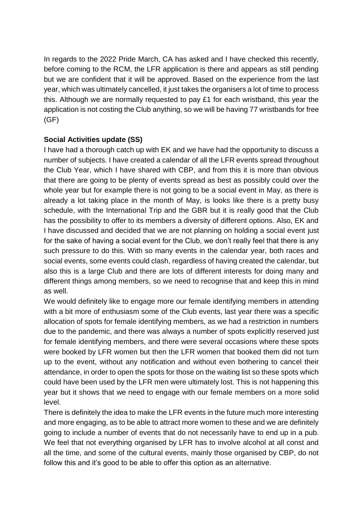In regards to the 2022 Pride March, CA has asked and I have checked this recently, before coming to the RCM, the LFR application is there and appears as still pending but we are confident that it will be approved. Based on the experience from the last year, which was ultimately cancelled, it just takes the organisers a lot of time to process this. Although we are normally requested to pay £1 for each wristband, this year the application is not costing the Club anything, so we will be having 77 wristbands for free (GF)

### **Social Activities update (SS)**

I have had a thorough catch up with EK and we have had the opportunity to discuss a number of subjects. I have created a calendar of all the LFR events spread throughout the Club Year, which I have shared with CBP, and from this it is more than obvious that there are going to be plenty of events spread as best as possibly could over the whole year but for example there is not going to be a social event in May, as there is already a lot taking place in the month of May, is looks like there is a pretty busy schedule, with the International Trip and the GBR but it is really good that the Club has the possibility to offer to its members a diversity of different options. Also, EK and I have discussed and decided that we are not planning on holding a social event just for the sake of having a social event for the Club, we don't really feel that there is any such pressure to do this. With so many events in the calendar year, both races and social events, some events could clash, regardless of having created the calendar, but also this is a large Club and there are lots of different interests for doing many and different things among members, so we need to recognise that and keep this in mind as well.

We would definitely like to engage more our female identifying members in attending with a bit more of enthusiasm some of the Club events, last year there was a specific allocation of spots for female identifying members, as we had a restriction in numbers due to the pandemic, and there was always a number of spots explicitly reserved just for female identifying members, and there were several occasions where these spots were booked by LFR women but then the LFR women that booked them did not turn up to the event, without any notification and without even bothering to cancel their attendance, in order to open the spots for those on the waiting list so these spots which could have been used by the LFR men were ultimately lost. This is not happening this year but it shows that we need to engage with our female members on a more solid level.

There is definitely the idea to make the LFR events in the future much more interesting and more engaging, as to be able to attract more women to these and we are definitely going to include a number of events that do not necessarily have to end up in a pub. We feel that not everything organised by LFR has to involve alcohol at all const and all the time, and some of the cultural events, mainly those organised by CBP, do not follow this and it's good to be able to offer this option as an alternative.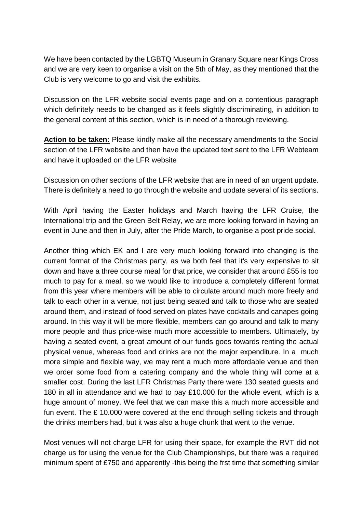We have been contacted by the LGBTQ Museum in Granary Square near Kings Cross and we are very keen to organise a visit on the 5th of May, as they mentioned that the Club is very welcome to go and visit the exhibits.

Discussion on the LFR website social events page and on a contentious paragraph which definitely needs to be changed as it feels slightly discriminating, in addition to the general content of this section, which is in need of a thorough reviewing.

**Action to be taken:** Please kindly make all the necessary amendments to the Social section of the LFR website and then have the updated text sent to the LFR Webteam and have it uploaded on the LFR website

Discussion on other sections of the LFR website that are in need of an urgent update. There is definitely a need to go through the website and update several of its sections.

With April having the Easter holidays and March having the LFR Cruise, the International trip and the Green Belt Relay, we are more looking forward in having an event in June and then in July, after the Pride March, to organise a post pride social.

Another thing which EK and I are very much looking forward into changing is the current format of the Christmas party, as we both feel that it's very expensive to sit down and have a three course meal for that price, we consider that around £55 is too much to pay for a meal, so we would like to introduce a completely different format from this year where members will be able to circulate around much more freely and talk to each other in a venue, not just being seated and talk to those who are seated around them, and instead of food served on plates have cocktails and canapes going around. In this way it will be more flexible, members can go around and talk to many more people and thus price-wise much more accessible to members. Ultimately, by having a seated event, a great amount of our funds goes towards renting the actual physical venue, whereas food and drinks are not the major expenditure. In a much more simple and flexible way, we may rent a much more affordable venue and then we order some food from a catering company and the whole thing will come at a smaller cost. During the last LFR Christmas Party there were 130 seated guests and 180 in all in attendance and we had to pay £10.000 for the whole event, which is a huge amount of money. We feel that we can make this a much more accessible and fun event. The £ 10.000 were covered at the end through selling tickets and through the drinks members had, but it was also a huge chunk that went to the venue.

Most venues will not charge LFR for using their space, for example the RVT did not charge us for using the venue for the Club Championships, but there was a required minimum spent of £750 and apparently -this being the frst time that something similar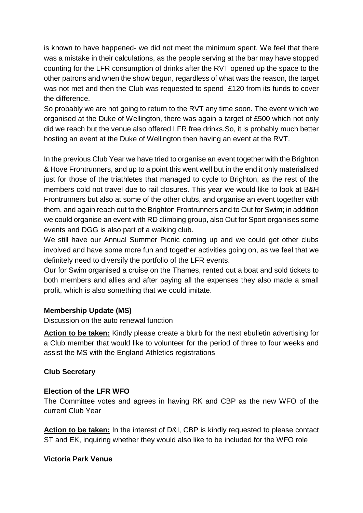is known to have happened- we did not meet the minimum spent. We feel that there was a mistake in their calculations, as the people serving at the bar may have stopped counting for the LFR consumption of drinks after the RVT opened up the space to the other patrons and when the show begun, regardless of what was the reason, the target was not met and then the Club was requested to spend £120 from its funds to cover the difference.

So probably we are not going to return to the RVT any time soon. The event which we organised at the Duke of Wellington, there was again a target of £500 which not only did we reach but the venue also offered LFR free drinks.So, it is probably much better hosting an event at the Duke of Wellington then having an event at the RVT.

In the previous Club Year we have tried to organise an event together with the Brighton & Hove Frontrunners, and up to a point this went well but in the end it only materialised just for those of the triathletes that managed to cycle to Brighton, as the rest of the members cold not travel due to rail closures. This year we would like to look at B&H Frontrunners but also at some of the other clubs, and organise an event together with them, and again reach out to the Brighton Frontrunners and to Out for Swim; in addition we could organise an event with RD climbing group, also Out for Sport organises some events and DGG is also part of a walking club.

We still have our Annual Summer Picnic coming up and we could get other clubs involved and have some more fun and together activities going on, as we feel that we definitely need to diversify the portfolio of the LFR events.

Our for Swim organised a cruise on the Thames, rented out a boat and sold tickets to both members and allies and after paying all the expenses they also made a small profit, which is also something that we could imitate.

### **Membership Update (MS)**

Discussion on the auto renewal function

**Action to be taken:** Kindly please create a blurb for the next ebulletin advertising for a Club member that would like to volunteer for the period of three to four weeks and assist the MS with the England Athletics registrations

### **Club Secretary**

### **Election of the LFR WFO**

The Committee votes and agrees in having RK and CBP as the new WFO of the current Club Year

**Action to be taken:** In the interest of D&I, CBP is kindly requested to please contact ST and EK, inquiring whether they would also like to be included for the WFO role

### **Victoria Park Venue**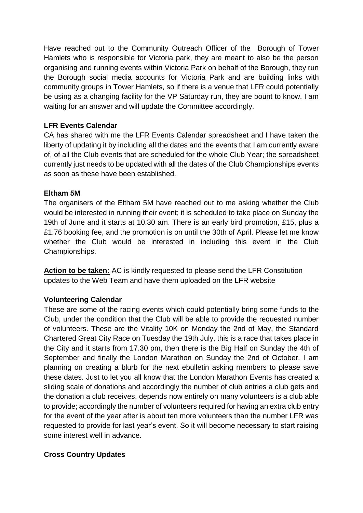Have reached out to the Community Outreach Officer of the Borough of Tower Hamlets who is responsible for Victoria park, they are meant to also be the person organising and running events within Victoria Park on behalf of the Borough, they run the Borough social media accounts for Victoria Park and are building links with community groups in Tower Hamlets, so if there is a venue that LFR could potentially be using as a changing facility for the VP Saturday run, they are bount to know. I am waiting for an answer and will update the Committee accordingly.

### **LFR Events Calendar**

CA has shared with me the LFR Events Calendar spreadsheet and I have taken the liberty of updating it by including all the dates and the events that I am currently aware of, of all the Club events that are scheduled for the whole Club Year; the spreadsheet currently just needs to be updated with all the dates of the Club Championships events as soon as these have been established.

### **Eltham 5M**

The organisers of the Eltham 5M have reached out to me asking whether the Club would be interested in running their event; it is scheduled to take place on Sunday the 19th of June and it starts at 10.30 am. There is an early bird promotion, £15, plus a £1.76 booking fee, and the promotion is on until the 30th of April. Please let me know whether the Club would be interested in including this event in the Club Championships.

**Action to be taken:** AC is kindly requested to please send the LFR Constitution updates to the Web Team and have them uploaded on the LFR website

### **Volunteering Calendar**

These are some of the racing events which could potentially bring some funds to the Club, under the condition that the Club will be able to provide the requested number of volunteers. These are the Vitality 10K on Monday the 2nd of May, the Standard Chartered Great City Race on Tuesday the 19th July, this is a race that takes place in the City and it starts from 17.30 pm, then there is the Big Half on Sunday the 4th of September and finally the London Marathon on Sunday the 2nd of October. I am planning on creating a blurb for the next ebulletin asking members to please save these dates. Just to let you all know that the London Marathon Events has created a sliding scale of donations and accordingly the number of club entries a club gets and the donation a club receives, depends now entirely on many volunteers is a club able to provide; accordingly the number of volunteers required for having an extra club entry for the event of the year after is about ten more volunteers than the number LFR was requested to provide for last year's event. So it will become necessary to start raising some interest well in advance.

### **Cross Country Updates**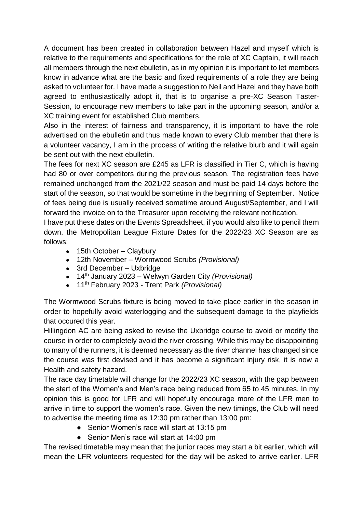A document has been created in collaboration between Hazel and myself which is relative to the requirements and specifications for the role of XC Captain, it will reach all members through the next ebulletin, as in my opinion it is important to let members know in advance what are the basic and fixed requirements of a role they are being asked to volunteer for. I have made a suggestion to Neil and Hazel and they have both agreed to enthusiastically adopt it, that is to organise a pre-XC Season Taster-Session, to encourage new members to take part in the upcoming season, and/or a XC training event for established Club members.

Also in the interest of fairness and transparency, it is important to have the role advertised on the ebulletin and thus made known to every Club member that there is a volunteer vacancy, I am in the process of writing the relative blurb and it will again be sent out with the next ebulletin.

The fees for next XC season are £245 as LFR is classified in Tier C, which is having had 80 or over competitors during the previous season. The registration fees have remained unchanged from the 2021/22 season and must be paid 14 days before the start of the season, so that would be sometime in the beginning of September. Notice of fees being due is usually received sometime around August/September, and I will forward the invoice on to the Treasurer upon receiving the relevant notification.

I have put these dates on the Events Spreadsheet, if you would also like to pencil them down, the Metropolitan League Fixture Dates for the 2022/23 XC Season are as follows:

- $\bullet$  15th October Claybury
- 12th November Wormwood Scrubs *(Provisional)*
- 3rd December Uxbridge
- 14th January 2023 Welwyn Garden City *(Provisional)*
- 11th February 2023 *-* Trent Park *(Provisional)*

The Wormwood Scrubs fixture is being moved to take place earlier in the season in order to hopefully avoid waterlogging and the subsequent damage to the playfields that occured this year.

Hillingdon AC are being asked to revise the Uxbridge course to avoid or modify the course in order to completely avoid the river crossing. While this may be disappointing to many of the runners, it is deemed necessary as the river channel has changed since the course was first devised and it has become a significant injury risk, it is now a Health and safety hazard.

The race day timetable will change for the 2022/23 XC season, with the gap between the start of the Women's and Men's race being reduced from 65 to 45 minutes. In my opinion this is good for LFR and will hopefully encourage more of the LFR men to arrive in time to support the women's race. Given the new timings, the Club will need to advertise the meeting time as 12:30 pm rather than 13:00 pm:

- Senior Women's race will start at 13:15 pm
- Senior Men's race will start at 14:00 pm

The revised timetable may mean that the junior races may start a bit earlier, which will mean the LFR volunteers requested for the day will be asked to arrive earlier. LFR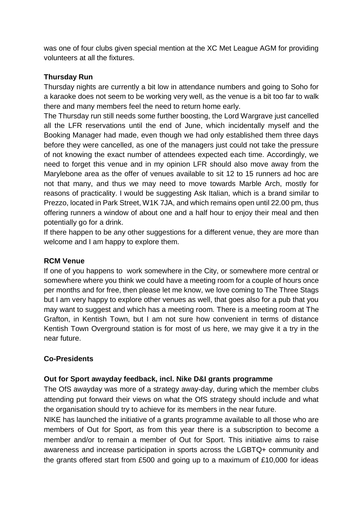was one of four clubs given special mention at the XC Met League AGM for providing volunteers at all the fixtures.

### **Thursday Run**

Thursday nights are currently a bit low in attendance numbers and going to Soho for a karaoke does not seem to be working very well, as the venue is a bit too far to walk there and many members feel the need to return home early.

The Thursday run still needs some further boosting, the Lord Wargrave just cancelled all the LFR reservations until the end of June, which incidentally myself and the Booking Manager had made, even though we had only established them three days before they were cancelled, as one of the managers just could not take the pressure of not knowing the exact number of attendees expected each time. Accordingly, we need to forget this venue and in my opinion LFR should also move away from the Marylebone area as the offer of venues available to sit 12 to 15 runners ad hoc are not that many, and thus we may need to move towards Marble Arch, mostly for reasons of practicality. I would be suggesting Ask Italian, which is a brand similar to Prezzo, located in Park Street, W1K 7JA, and which remains open until 22.00 pm, thus offering runners a window of about one and a half hour to enjoy their meal and then potentially go for a drink.

If there happen to be any other suggestions for a different venue, they are more than welcome and I am happy to explore them.

### **RCM Venue**

If one of you happens to work somewhere in the City, or somewhere more central or somewhere where you think we could have a meeting room for a couple of hours once per months and for free, then please let me know, we love coming to The Three Stags but I am very happy to explore other venues as well, that goes also for a pub that you may want to suggest and which has a meeting room. There is a meeting room at The Grafton, in Kentish Town, but I am not sure how convenient in terms of distance Kentish Town Overground station is for most of us here, we may give it a try in the near future.

### **Co-Presidents**

### **Out for Sport awayday feedback, incl. Nike D&I grants programme**

The OfS awayday was more of a strategy away-day, during which the member clubs attending put forward their views on what the OfS strategy should include and what the organisation should try to achieve for its members in the near future.

NIKE has launched the initiative of a grants programme available to all those who are members of Out for Sport, as from this year there is a subscription to become a member and/or to remain a member of Out for Sport. This initiative aims to raise awareness and increase participation in sports across the LGBTQ+ community and the grants offered start from £500 and going up to a maximum of £10,000 for ideas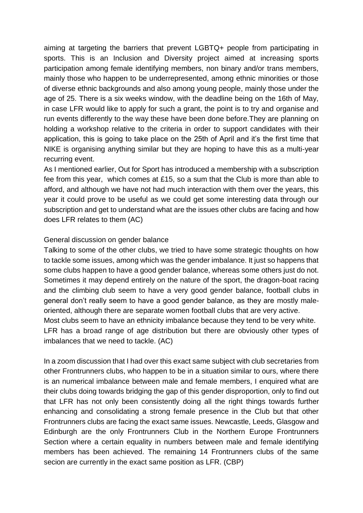aiming at targeting the barriers that prevent LGBTQ+ people from participating in sports. This is an Inclusion and Diversity project aimed at increasing sports participation among female identifying members, non binary and/or trans members, mainly those who happen to be underrepresented, among ethnic minorities or those of diverse ethnic backgrounds and also among young people, mainly those under the age of 25. There is a six weeks window, with the deadline being on the 16th of May, in case LFR would like to apply for such a grant, the point is to try and organise and run events differently to the way these have been done before.They are planning on holding a workshop relative to the criteria in order to support candidates with their application, this is going to take place on the 25th of April and it's the first time that NIKE is organising anything similar but they are hoping to have this as a multi-year recurring event.

As I mentioned earlier, Out for Sport has introduced a membership with a subscription fee from this year, which comes at £15, so a sum that the Club is more than able to afford, and although we have not had much interaction with them over the years, this year it could prove to be useful as we could get some interesting data through our subscription and get to understand what are the issues other clubs are facing and how does LFR relates to them (AC)

#### General discussion on gender balance

Talking to some of the other clubs, we tried to have some strategic thoughts on how to tackle some issues, among which was the gender imbalance. It just so happens that some clubs happen to have a good gender balance, whereas some others just do not. Sometimes it may depend entirely on the nature of the sport, the dragon-boat racing and the climbing club seem to have a very good gender balance, football clubs in general don't really seem to have a good gender balance, as they are mostly maleoriented, although there are separate women football clubs that are very active.

Most clubs seem to have an ethnicity imbalance because they tend to be very white. LFR has a broad range of age distribution but there are obviously other types of imbalances that we need to tackle. (AC)

In a zoom discussion that I had over this exact same subject with club secretaries from other Frontrunners clubs, who happen to be in a situation similar to ours, where there is an numerical imbalance between male and female members, I enquired what are their clubs doing towards bridging the gap of this gender disproportion, only to find out that LFR has not only been consistently doing all the right things towards further enhancing and consolidating a strong female presence in the Club but that other Frontrunners clubs are facing the exact same issues. Newcastle, Leeds, Glasgow and Edinburgh are the only Frontrunners Club in the Northern Europe Frontrunners Section where a certain equality in numbers between male and female identifying members has been achieved. The remaining 14 Frontrunners clubs of the same secion are currently in the exact same position as LFR. (CBP)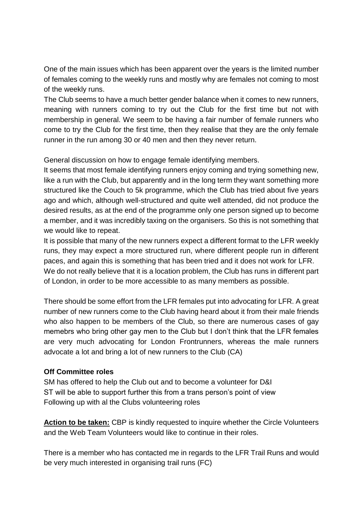One of the main issues which has been apparent over the years is the limited number of females coming to the weekly runs and mostly why are females not coming to most of the weekly runs.

The Club seems to have a much better gender balance when it comes to new runners, meaning with runners coming to try out the Club for the first time but not with membership in general. We seem to be having a fair number of female runners who come to try the Club for the first time, then they realise that they are the only female runner in the run among 30 or 40 men and then they never return.

General discussion on how to engage female identifying members.

It seems that most female identifying runners enjoy coming and trying something new, like a run with the Club, but apparently and in the long term they want something more structured like the Couch to 5k programme, which the Club has tried about five years ago and which, although well-structured and quite well attended, did not produce the desired results, as at the end of the programme only one person signed up to become a member, and it was incredibly taxing on the organisers. So this is not something that we would like to repeat.

It is possible that many of the new runners expect a different format to the LFR weekly runs, they may expect a more structured run, where different people run in different paces, and again this is something that has been tried and it does not work for LFR. We do not really believe that it is a location problem, the Club has runs in different part of London, in order to be more accessible to as many members as possible.

There should be some effort from the LFR females put into advocating for LFR. A great number of new runners come to the Club having heard about it from their male friends who also happen to be members of the Club, so there are numerous cases of gay memebrs who bring other gay men to the Club but I don't think that the LFR females are very much advocating for London Frontrunners, whereas the male runners advocate a lot and bring a lot of new runners to the Club (CA)

#### **Off Committee roles**

SM has offered to help the Club out and to become a volunteer for D&I ST will be able to support further this from a trans person's point of view Following up with al the Clubs volunteering roles

**Action to be taken:** CBP is kindly requested to inquire whether the Circle Volunteers and the Web Team Volunteers would like to continue in their roles.

There is a member who has contacted me in regards to the LFR Trail Runs and would be very much interested in organising trail runs (FC)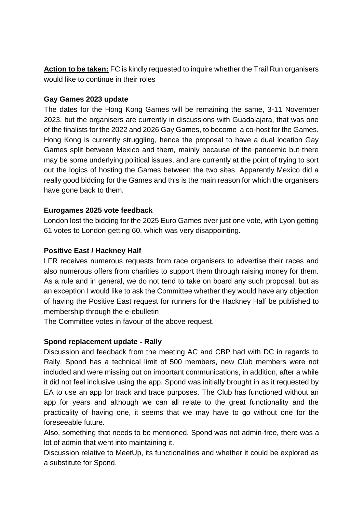**Action to be taken:** FC is kindly requested to inquire whether the Trail Run organisers would like to continue in their roles

#### **Gay Games 2023 update**

The dates for the Hong Kong Games will be remaining the same, 3-11 November 2023, but the organisers are currently in discussions with Guadalajara, that was one of the finalists for the 2022 and 2026 Gay Games, to become a co-host for the Games. Hong Kong is currently struggling, hence the proposal to have a dual location Gay Games split between Mexico and them, mainly because of the pandemic but there may be some underlying political issues, and are currently at the point of trying to sort out the logics of hosting the Games between the two sites. Apparently Mexico did a really good bidding for the Games and this is the main reason for which the organisers have gone back to them.

### **Eurogames 2025 vote feedback**

London lost the bidding for the 2025 Euro Games over just one vote, with Lyon getting 61 votes to London getting 60, which was very disappointing.

### **Positive East / Hackney Half**

LFR receives numerous requests from race organisers to advertise their races and also numerous offers from charities to support them through raising money for them. As a rule and in general, we do not tend to take on board any such proposal, but as an exception I would like to ask the Committee whether they would have any objection of having the Positive East request for runners for the Hackney Half be published to membership through the e-ebulletin

The Committee votes in favour of the above request.

## **Spond replacement update - Rally**

Discussion and feedback from the meeting AC and CBP had with DC in regards to Rally. Spond has a technical limit of 500 members, new Club members were not included and were missing out on important communications, in addition, after a while it did not feel inclusive using the app. Spond was initially brought in as it requested by EA to use an app for track and trace purposes. The Club has functioned without an app for years and although we can all relate to the great functionality and the practicality of having one, it seems that we may have to go without one for the foreseeable future.

Also, something that needs to be mentioned, Spond was not admin-free, there was a lot of admin that went into maintaining it.

Discussion relative to MeetUp, its functionalities and whether it could be explored as a substitute for Spond.